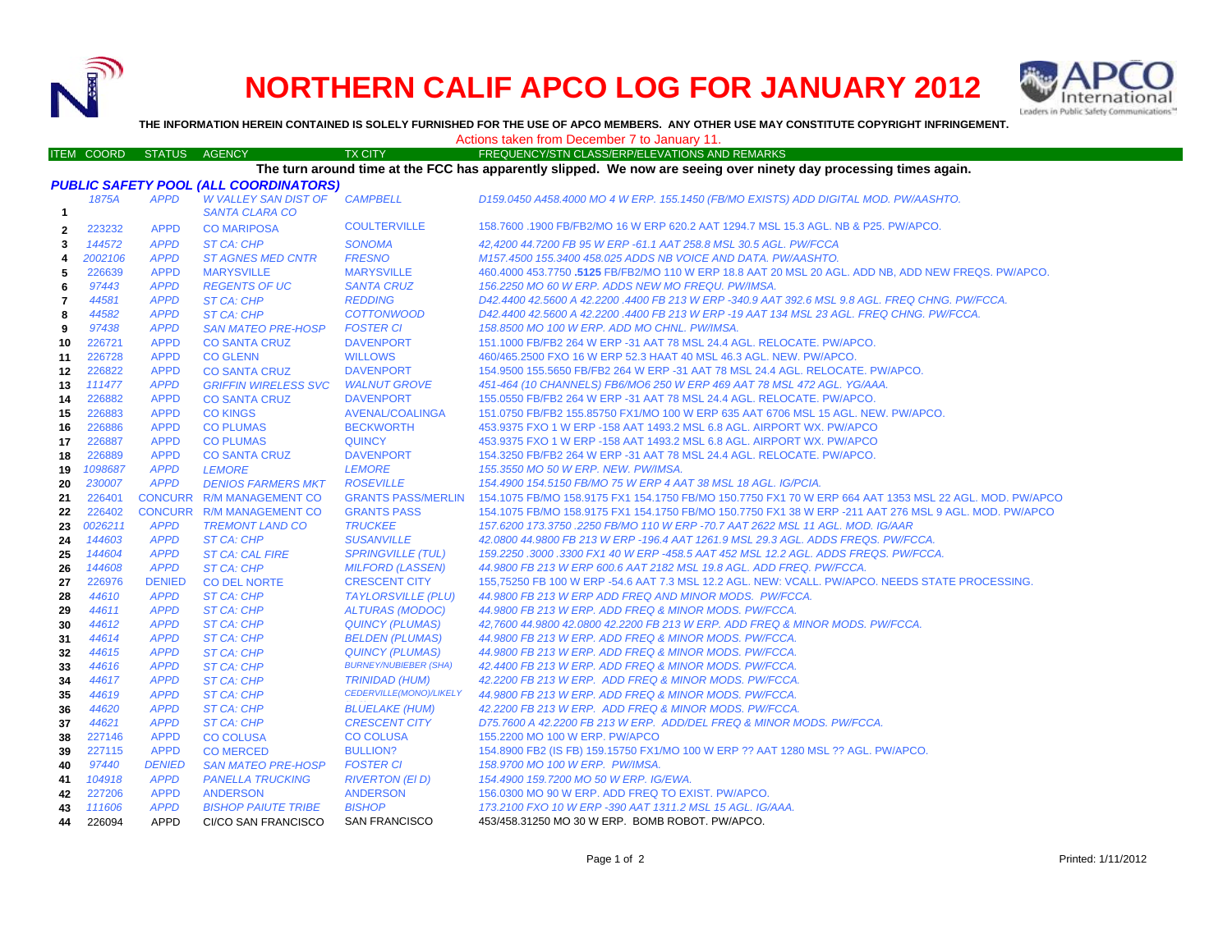

## **NORTHERN CALIF APCO LOG FOR JANUARY 2012**



**THE INFORMATION HEREIN CONTAINED IS SOLELY FURNISHED FOR THE USE OF APCO MEMBERS. ANY OTHER USE MAY CONSTITUTE COPYRIGHT INFRINGEMENT.**

## Actions taken from December 7 to January 11.

## ITEM COORD STATUS AGENCY TX CITY FREQUENCY/STN CLASS/ERP/ELEVATIONS AND REMARKS **The turn around time at the FCC has apparently slipped. We now are seeing over ninety day processing times again.**

| <b>PUBLIC SAFETY POOL (ALL COORDINATORS)</b> |         |               |                             |                              |                                                                                                        |  |  |  |
|----------------------------------------------|---------|---------------|-----------------------------|------------------------------|--------------------------------------------------------------------------------------------------------|--|--|--|
|                                              | 1875A   | <b>APPD</b>   | <b>W VALLEY SAN DIST OF</b> | <b>CAMPBELL</b>              | D159.0450 A458.4000 MO 4 W ERP. 155.1450 (FB/MO EXISTS) ADD DIGITAL MOD. PW/AASHTO.                    |  |  |  |
| $\mathbf{1}$                                 |         |               | <b>SANTA CLARA CO</b>       |                              |                                                                                                        |  |  |  |
| $\mathbf{2}$                                 | 223232  | <b>APPD</b>   | <b>CO MARIPOSA</b>          | <b>COULTERVILLE</b>          | 158.7600 .1900 FB/FB2/MO 16 W ERP 620.2 AAT 1294.7 MSL 15.3 AGL. NB & P25. PW/APCO.                    |  |  |  |
| 3                                            | 144572  | <b>APPD</b>   | ST CA: CHP                  | <b>SONOMA</b>                | 42,4200 44.7200 FB 95 W ERP -61.1 AAT 258.8 MSL 30.5 AGL. PW/FCCA                                      |  |  |  |
| 4                                            | 2002106 | <b>APPD</b>   | <b>ST AGNES MED CNTR</b>    | <b>FRESNO</b>                | M157.4500 155.3400 458.025 ADDS NB VOICE AND DATA. PW/AASHTO.                                          |  |  |  |
| 5                                            | 226639  | <b>APPD</b>   | <b>MARYSVILLE</b>           | <b>MARYSVILLE</b>            | 460.4000 453.7750 .5125 FB/FB2/MO 110 W ERP 18.8 AAT 20 MSL 20 AGL. ADD NB. ADD NEW FREQS. PW/APCO.    |  |  |  |
| 6                                            | 97443   | <b>APPD</b>   | <b>REGENTS OF UC</b>        | <b>SANTA CRUZ</b>            | 156.2250 MO 60 W ERP. ADDS NEW MO FREQU. PW/IMSA.                                                      |  |  |  |
| $\overline{7}$                               | 44581   | <b>APPD</b>   | ST CA: CHP                  | <b>REDDING</b>               | D42.4400 42.5600 A 42.2200 .4400 FB 213 W ERP -340.9 AAT 392.6 MSL 9.8 AGL, FREQ CHNG, PW/FCCA,        |  |  |  |
| 8                                            | 44582   | <b>APPD</b>   | <b>ST CA: CHP</b>           | <b>COTTONWOOD</b>            | D42.4400 42.5600 A 42.2200 .4400 FB 213 W ERP -19 AAT 134 MSL 23 AGL. FREQ CHNG. PW/FCCA.              |  |  |  |
| 9                                            | 97438   | <b>APPD</b>   | <b>SAN MATEO PRE-HOSP</b>   | <b>FOSTER CI</b>             | 158.8500 MO 100 W ERP. ADD MO CHNL. PW/IMSA.                                                           |  |  |  |
| 10                                           | 226721  | <b>APPD</b>   | <b>CO SANTA CRUZ</b>        | <b>DAVENPORT</b>             | 151.1000 FB/FB2 264 W ERP -31 AAT 78 MSL 24.4 AGL, RELOCATE, PW/APCO.                                  |  |  |  |
| 11                                           | 226728  | <b>APPD</b>   | <b>CO GLENN</b>             | <b>WILLOWS</b>               | 460/465.2500 FXO 16 W ERP 52.3 HAAT 40 MSL 46.3 AGL. NEW. PW/APCO.                                     |  |  |  |
| $12 \,$                                      | 226822  | <b>APPD</b>   | <b>CO SANTA CRUZ</b>        | <b>DAVENPORT</b>             | 154.9500 155.5650 FB/FB2 264 W ERP -31 AAT 78 MSL 24.4 AGL. RELOCATE. PW/APCO.                         |  |  |  |
| 13                                           | 111477  | <b>APPD</b>   | <b>GRIFFIN WIRELESS SVC</b> | <b>WALNUT GROVE</b>          | 451-464 (10 CHANNELS) FB6/MO6 250 W ERP 469 AAT 78 MSL 472 AGL. YG/AAA.                                |  |  |  |
| 14                                           | 226882  | <b>APPD</b>   | <b>CO SANTA CRUZ</b>        | <b>DAVENPORT</b>             | 155.0550 FB/FB2 264 W ERP -31 AAT 78 MSL 24.4 AGL. RELOCATE. PW/APCO.                                  |  |  |  |
| 15                                           | 226883  | <b>APPD</b>   | <b>CO KINGS</b>             | AVENAL/COALINGA              | 151.0750 FB/FB2 155.85750 FX1/MO 100 W ERP 635 AAT 6706 MSL 15 AGL, NEW, PW/APCO,                      |  |  |  |
| 16                                           | 226886  | <b>APPD</b>   | <b>CO PLUMAS</b>            | <b>BECKWORTH</b>             | 453.9375 FXO 1 W ERP -158 AAT 1493.2 MSL 6.8 AGL. AIRPORT WX. PW/APCO                                  |  |  |  |
| 17                                           | 226887  | <b>APPD</b>   | <b>CO PLUMAS</b>            | <b>QUINCY</b>                | 453.9375 FXO 1 W ERP -158 AAT 1493.2 MSL 6.8 AGL, AIRPORT WX, PW/APCO                                  |  |  |  |
| 18                                           | 226889  | <b>APPD</b>   | <b>CO SANTA CRUZ</b>        | <b>DAVENPORT</b>             | 154.3250 FB/FB2 264 W ERP -31 AAT 78 MSL 24.4 AGL. RELOCATE. PW/APCO.                                  |  |  |  |
| 19                                           | 1098687 | <b>APPD</b>   | <b>LEMORE</b>               | <b>LEMORE</b>                | 155.3550 MO 50 W ERP. NEW. PW/IMSA.                                                                    |  |  |  |
| 20                                           | 230007  | <b>APPD</b>   | <b>DENIOS FARMERS MKT</b>   | <b>ROSEVILLE</b>             | 154.4900 154.5150 FB/MO 75 W ERP 4 AAT 38 MSL 18 AGL, IG/PCIA.                                         |  |  |  |
| 21                                           | 226401  |               | CONCURR R/M MANAGEMENT CO   | <b>GRANTS PASS/MERLIN</b>    | 154.1075 FB/MO 158.9175 FX1 154.1750 FB/MO 150.7750 FX1 70 W ERP 664 AAT 1353 MSL 22 AGL. MOD. PW/APCO |  |  |  |
| 22                                           | 226402  |               | CONCURR R/M MANAGEMENT CO   | <b>GRANTS PASS</b>           | 154.1075 FB/MO 158.9175 FX1 154.1750 FB/MO 150.7750 FX1 38 W ERP -211 AAT 276 MSL 9 AGL. MOD. PW/APCO  |  |  |  |
| 23                                           | 0026211 | <b>APPD</b>   | <b>TREMONT LAND CO</b>      | <b>TRUCKEE</b>               | 157.6200 173.3750 .2250 FB/MO 110 W ERP -70.7 AAT 2622 MSL 11 AGL. MOD. IG/AAR                         |  |  |  |
| 24                                           | 144603  | <b>APPD</b>   | ST CA: CHP                  | <b>SUSANVILLE</b>            | 42,0800 44,9800 FB 213 W ERP -196.4 AAT 1261.9 MSL 29.3 AGL, ADDS FREQS, PW/FCCA.                      |  |  |  |
| 25                                           | 144604  | <b>APPD</b>   | <b>ST CA: CAL FIRE</b>      | <b>SPRINGVILLE (TUL)</b>     | 159.2250.3000.3300 FX1 40 W ERP -458.5 AAT 452 MSL 12.2 AGL. ADDS FREQS. PW/FCCA.                      |  |  |  |
| 26                                           | 144608  | <b>APPD</b>   | ST CA: CHP                  | <b>MILFORD (LASSEN)</b>      | 44.9800 FB 213 W ERP 600.6 AAT 2182 MSL 19.8 AGL. ADD FREQ. PW/FCCA.                                   |  |  |  |
| 27                                           | 226976  | <b>DENIED</b> | <b>CO DEL NORTE</b>         | <b>CRESCENT CITY</b>         | 155,75250 FB 100 W ERP -54.6 AAT 7.3 MSL 12.2 AGL. NEW: VCALL. PW/APCO. NEEDS STATE PROCESSING.        |  |  |  |
| 28                                           | 44610   | <b>APPD</b>   | <b>ST CA: CHP</b>           | <b>TAYLORSVILLE (PLU)</b>    | 44.9800 FB 213 W ERP ADD FREQ AND MINOR MODS. PW/FCCA.                                                 |  |  |  |
| 29                                           | 44611   | <b>APPD</b>   | <b>ST CA: CHP</b>           | <b>ALTURAS (MODOC)</b>       | 44.9800 FB 213 W ERP. ADD FREQ & MINOR MODS. PW/FCCA.                                                  |  |  |  |
| 30                                           | 44612   | <b>APPD</b>   | <b>ST CA: CHP</b>           | <b>QUINCY (PLUMAS)</b>       | 42,7600 44.9800 42.0800 42.2200 FB 213 W ERP. ADD FREQ & MINOR MODS. PW/FCCA.                          |  |  |  |
| 31                                           | 44614   | <b>APPD</b>   | ST CA: CHP                  | <b>BELDEN (PLUMAS)</b>       | 44.9800 FB 213 W ERP. ADD FREQ & MINOR MODS. PW/FCCA.                                                  |  |  |  |
| 32                                           | 44615   | <b>APPD</b>   | <b>ST CA: CHP</b>           | <b>QUINCY (PLUMAS)</b>       | 44.9800 FB 213 W ERP. ADD FREQ & MINOR MODS. PW/FCCA.                                                  |  |  |  |
| 33                                           | 44616   | <b>APPD</b>   | ST CA: CHP                  | <b>BURNEY/NUBIEBER (SHA)</b> | 42.4400 FB 213 W ERP. ADD FREQ & MINOR MODS. PW/FCCA.                                                  |  |  |  |
| 34                                           | 44617   | <b>APPD</b>   | ST CA: CHP                  | <b>TRINIDAD (HUM)</b>        | 42.2200 FB 213 W ERP. ADD FREQ & MINOR MODS. PW/FCCA.                                                  |  |  |  |
| 35                                           | 44619   | <b>APPD</b>   | ST CA: CHP                  | CEDERVILLE(MONO)/LIKELY      | 44.9800 FB 213 W ERP. ADD FREQ & MINOR MODS. PW/FCCA.                                                  |  |  |  |
| 36                                           | 44620   | <b>APPD</b>   | <b>ST CA: CHP</b>           | <b>BLUELAKE (HUM)</b>        | 42.2200 FB 213 W ERP. ADD FREQ & MINOR MODS. PW/FCCA.                                                  |  |  |  |
| 37                                           | 44621   | <b>APPD</b>   | <b>ST CA: CHP</b>           | <b>CRESCENT CITY</b>         | D75.7600 A 42.2200 FB 213 W ERP. ADD/DEL FREQ & MINOR MODS. PW/FCCA.                                   |  |  |  |
| 38                                           | 227146  | <b>APPD</b>   | <b>CO COLUSA</b>            | <b>CO COLUSA</b>             | 155,2200 MO 100 W ERP. PW/APCO                                                                         |  |  |  |
| 39                                           | 227115  | <b>APPD</b>   | <b>CO MERCED</b>            | <b>BULLION?</b>              | 154.8900 FB2 (IS FB) 159.15750 FX1/MO 100 W ERP ?? AAT 1280 MSL ?? AGL. PW/APCO.                       |  |  |  |
| 40                                           | 97440   | <b>DENIED</b> | <b>SAN MATEO PRE-HOSP</b>   | <b>FOSTER CI</b>             | 158.9700 MO 100 W ERP. PW/IMSA.                                                                        |  |  |  |
| 41                                           | 104918  | <b>APPD</b>   | <b>PANELLA TRUCKING</b>     | <b>RIVERTON (EI D)</b>       | 154.4900 159.7200 MO 50 W ERP. IG/EWA.                                                                 |  |  |  |
| 42                                           | 227206  | <b>APPD</b>   | <b>ANDERSON</b>             | <b>ANDERSON</b>              | 156.0300 MO 90 W ERP. ADD FREQ TO EXIST. PW/APCO.                                                      |  |  |  |
| 43                                           | 111606  | <b>APPD</b>   | <b>BISHOP PAIUTE TRIBE</b>  | <b>BISHOP</b>                | 173.2100 FXO 10 W ERP -390 AAT 1311.2 MSL 15 AGL. IG/AAA.                                              |  |  |  |
| 44                                           | 226094  | <b>APPD</b>   | CI/CO SAN FRANCISCO         | <b>SAN FRANCISCO</b>         | 453/458.31250 MO 30 W ERP. BOMB ROBOT. PW/APCO.                                                        |  |  |  |